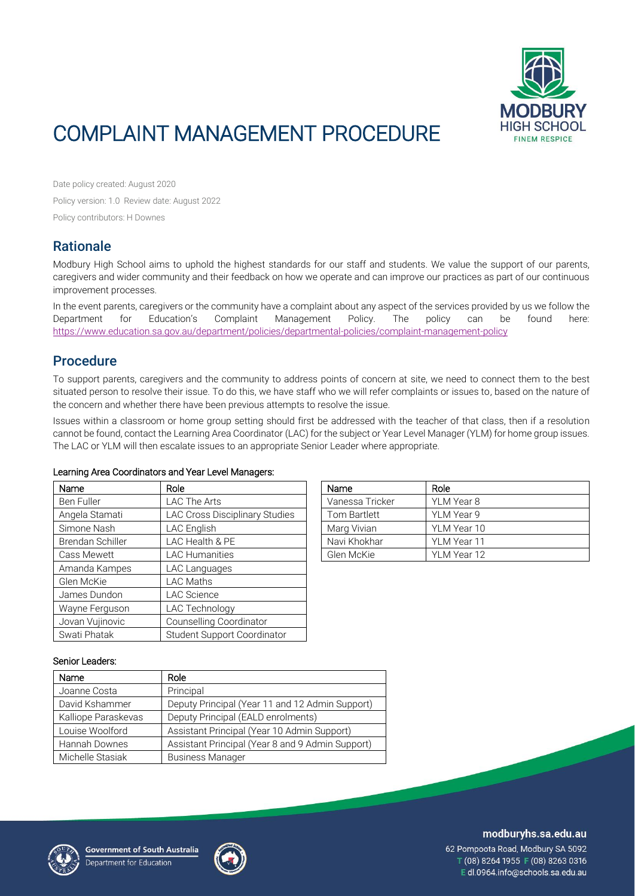

# COMPLAINT MANAGEMENT PROCEDURE

Date policy created: August 2020 Policy version: 1.0 Review date: August 2022 Policy contributors: H Downes

## **Rationale**

Modbury High School aims to uphold the highest standards for our staff and students. We value the support of our parents, caregivers and wider community and their feedback on how we operate and can improve our practices as part of our continuous improvement processes.

In the event parents, caregivers or the community have a complaint about any aspect of the services provided by us we follow the Department for Education's Complaint Management Policy. The policy can be found here: <https://www.education.sa.gov.au/department/policies/departmental-policies/complaint-management-policy>

## Procedure

To support parents, caregivers and the community to address points of concern at site, we need to connect them to the best situated person to resolve their issue. To do this, we have staff who we will refer complaints or issues to, based on the nature of the concern and whether there have been previous attempts to resolve the issue.

Issues within a classroom or home group setting should first be addressed with the teacher of that class, then if a resolution cannot be found, contact the Learning Area Coordinator (LAC) for the subject or Year Level Manager (YLM) for home group issues. The LAC or YLM will then escalate issues to an appropriate Senior Leader where appropriate.

#### Learning Area Coordinators and Year Level Managers:

| Name             | Role                               | Name            | Role        |
|------------------|------------------------------------|-----------------|-------------|
| Ben Fuller       | LAC The Arts                       | Vanessa Tricker | YLM Year 8  |
| Angela Stamati   | LAC Cross Disciplinary Studies     | Tom Bartlett    | YLM Year 9  |
| Simone Nash      | LAC English                        | Marg Vivian     | YLM Year 10 |
| Brendan Schiller | LAC Health & PE                    | Navi Khokhar    | YLM Year 11 |
| Cass Mewett      | <b>LAC Humanities</b>              | Glen McKie      | YLM Year 12 |
| Amanda Kampes    | LAC Languages                      |                 |             |
| Glen McKie       | <b>LAC Maths</b>                   |                 |             |
| James Dundon     | <b>LAC Science</b>                 |                 |             |
| Wayne Ferguson   | LAC Technology                     |                 |             |
| Jovan Vujinovic  | Counselling Coordinator            |                 |             |
| Swati Phatak     | <b>Student Support Coordinator</b> |                 |             |

| Name            | Role        |
|-----------------|-------------|
| Vanessa Tricker | YLM Year 8  |
| Tom Bartlett    | YLM Year 9  |
| Marg Vivian     | YLM Year 10 |
| Navi Khokhar    | YLM Year 11 |
| Glen McKie      | YLM Year 12 |

#### Senior Leaders:

| Name                | Role                                             |
|---------------------|--------------------------------------------------|
| Joanne Costa        | Principal                                        |
| David Kshammer      | Deputy Principal (Year 11 and 12 Admin Support)  |
| Kalliope Paraskevas | Deputy Principal (EALD enrolments)               |
| Louise Woolford     | Assistant Principal (Year 10 Admin Support)      |
| Hannah Downes       | Assistant Principal (Year 8 and 9 Admin Support) |
| Michelle Stasiak    | <b>Business Manager</b>                          |





#### modburyhs.sa.edu.au

62 Pompoota Road, Modbury SA 5092 T (08) 8264 1955 F (08) 8263 0316 Edl.0964.info@schools.sa.edu.au